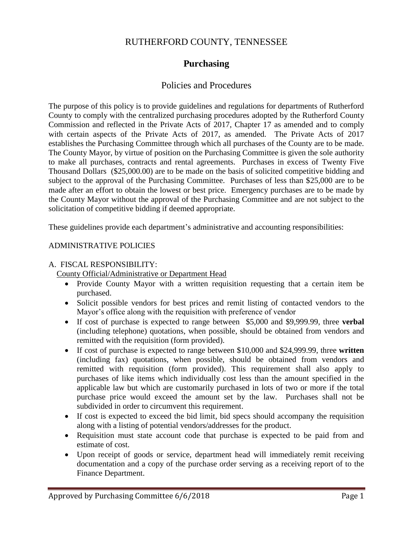## RUTHERFORD COUNTY, TENNESSEE

## **Purchasing**

### Policies and Procedures

The purpose of this policy is to provide guidelines and regulations for departments of Rutherford County to comply with the centralized purchasing procedures adopted by the Rutherford County Commission and reflected in the Private Acts of 2017, Chapter 17 as amended and to comply with certain aspects of the Private Acts of 2017, as amended. The Private Acts of 2017 establishes the Purchasing Committee through which all purchases of the County are to be made. The County Mayor, by virtue of position on the Purchasing Committee is given the sole authority to make all purchases, contracts and rental agreements. Purchases in excess of Twenty Five Thousand Dollars (\$25,000.00) are to be made on the basis of solicited competitive bidding and subject to the approval of the Purchasing Committee. Purchases of less than \$25,000 are to be made after an effort to obtain the lowest or best price. Emergency purchases are to be made by the County Mayor without the approval of the Purchasing Committee and are not subject to the solicitation of competitive bidding if deemed appropriate.

These guidelines provide each department's administrative and accounting responsibilities:

#### ADMINISTRATIVE POLICIES

#### A. FISCAL RESPONSIBILITY:

County Official/Administrative or Department Head

- Provide County Mayor with a written requisition requesting that a certain item be purchased.
- Solicit possible vendors for best prices and remit listing of contacted vendors to the Mayor's office along with the requisition with preference of vendor
- If cost of purchase is expected to range between \$5,000 and \$9,999.99, three **verbal** (including telephone) quotations, when possible, should be obtained from vendors and remitted with the requisition (form provided).
- If cost of purchase is expected to range between \$10,000 and \$24,999.99, three **written** (including fax) quotations, when possible, should be obtained from vendors and remitted with requisition (form provided). This requirement shall also apply to purchases of like items which individually cost less than the amount specified in the applicable law but which are customarily purchased in lots of two or more if the total purchase price would exceed the amount set by the law. Purchases shall not be subdivided in order to circumvent this requirement.
- If cost is expected to exceed the bid limit, bid specs should accompany the requisition along with a listing of potential vendors/addresses for the product.
- Requisition must state account code that purchase is expected to be paid from and estimate of cost.
- Upon receipt of goods or service, department head will immediately remit receiving documentation and a copy of the purchase order serving as a receiving report of to the Finance Department.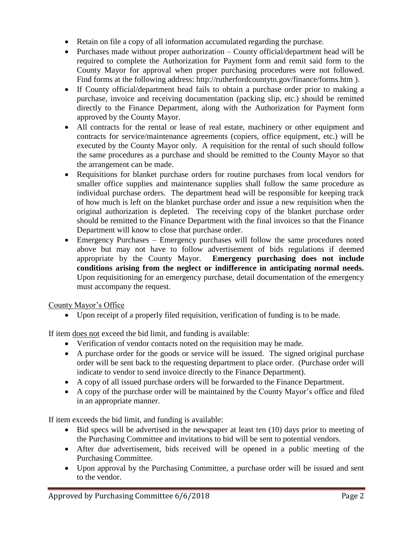- Retain on file a copy of all information accumulated regarding the purchase.
- Purchases made without proper authorization County official/department head will be required to complete the Authorization for Payment form and remit said form to the County Mayor for approval when proper purchasing procedures were not followed. Find forms at the following address: http://rutherfordcountytn.gov/finance/forms.htm ).
- If County official/department head fails to obtain a purchase order prior to making a purchase, invoice and receiving documentation (packing slip, etc.) should be remitted directly to the Finance Department, along with the Authorization for Payment form approved by the County Mayor.
- All contracts for the rental or lease of real estate, machinery or other equipment and contracts for service/maintenance agreements (copiers, office equipment, etc.) will be executed by the County Mayor only. A requisition for the rental of such should follow the same procedures as a purchase and should be remitted to the County Mayor so that the arrangement can be made.
- Requisitions for blanket purchase orders for routine purchases from local vendors for smaller office supplies and maintenance supplies shall follow the same procedure as individual purchase orders. The department head will be responsible for keeping track of how much is left on the blanket purchase order and issue a new requisition when the original authorization is depleted. The receiving copy of the blanket purchase order should be remitted to the Finance Department with the final invoices so that the Finance Department will know to close that purchase order.
- Emergency Purchases Emergency purchases will follow the same procedures noted above but may not have to follow advertisement of bids regulations if deemed appropriate by the County Mayor. **Emergency purchasing does not include conditions arising from the neglect or indifference in anticipating normal needs.**  Upon requisitioning for an emergency purchase, detail documentation of the emergency must accompany the request.

County Mayor's Office

Upon receipt of a properly filed requisition, verification of funding is to be made.

If item does not exceed the bid limit, and funding is available:

- Verification of vendor contacts noted on the requisition may be made.
- A purchase order for the goods or service will be issued. The signed original purchase order will be sent back to the requesting department to place order. (Purchase order will indicate to vendor to send invoice directly to the Finance Department).
- A copy of all issued purchase orders will be forwarded to the Finance Department.
- A copy of the purchase order will be maintained by the County Mayor's office and filed in an appropriate manner.

If item exceeds the bid limit, and funding is available:

- Bid specs will be advertised in the newspaper at least ten (10) days prior to meeting of the Purchasing Committee and invitations to bid will be sent to potential vendors.
- After due advertisement, bids received will be opened in a public meeting of the Purchasing Committee.
- Upon approval by the Purchasing Committee, a purchase order will be issued and sent to the vendor.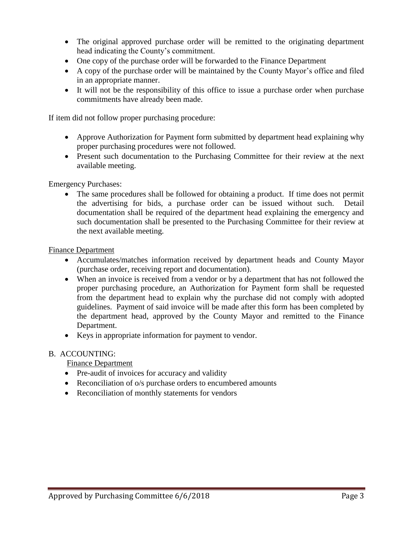- The original approved purchase order will be remitted to the originating department head indicating the County's commitment.
- One copy of the purchase order will be forwarded to the Finance Department
- A copy of the purchase order will be maintained by the County Mayor's office and filed in an appropriate manner.
- It will not be the responsibility of this office to issue a purchase order when purchase commitments have already been made.

If item did not follow proper purchasing procedure:

- Approve Authorization for Payment form submitted by department head explaining why proper purchasing procedures were not followed.
- Present such documentation to the Purchasing Committee for their review at the next available meeting.

Emergency Purchases:

 The same procedures shall be followed for obtaining a product. If time does not permit the advertising for bids, a purchase order can be issued without such. Detail documentation shall be required of the department head explaining the emergency and such documentation shall be presented to the Purchasing Committee for their review at the next available meeting.

Finance Department

- Accumulates/matches information received by department heads and County Mayor (purchase order, receiving report and documentation).
- When an invoice is received from a vendor or by a department that has not followed the proper purchasing procedure, an Authorization for Payment form shall be requested from the department head to explain why the purchase did not comply with adopted guidelines. Payment of said invoice will be made after this form has been completed by the department head, approved by the County Mayor and remitted to the Finance Department.
- Keys in appropriate information for payment to vendor.

#### B. ACCOUNTING:

Finance Department

- Pre-audit of invoices for accuracy and validity
- Reconciliation of o/s purchase orders to encumbered amounts
- Reconciliation of monthly statements for vendors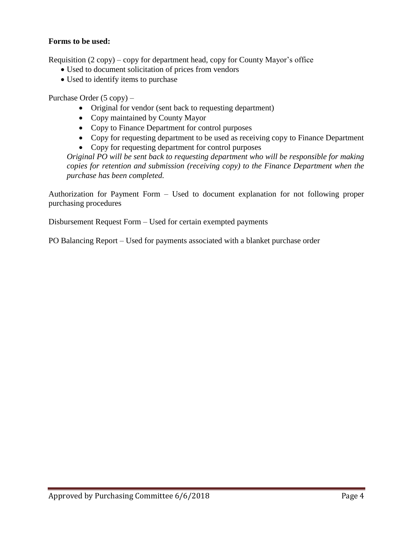#### **Forms to be used:**

Requisition (2 copy) – copy for department head, copy for County Mayor's office

- Used to document solicitation of prices from vendors
- Used to identify items to purchase

Purchase Order (5 copy) –

- Original for vendor (sent back to requesting department)
- Copy maintained by County Mayor
- Copy to Finance Department for control purposes
- Copy for requesting department to be used as receiving copy to Finance Department
- Copy for requesting department for control purposes

*Original PO will be sent back to requesting department who will be responsible for making copies for retention and submission (receiving copy) to the Finance Department when the purchase has been completed.*

Authorization for Payment Form – Used to document explanation for not following proper purchasing procedures

Disbursement Request Form – Used for certain exempted payments

PO Balancing Report – Used for payments associated with a blanket purchase order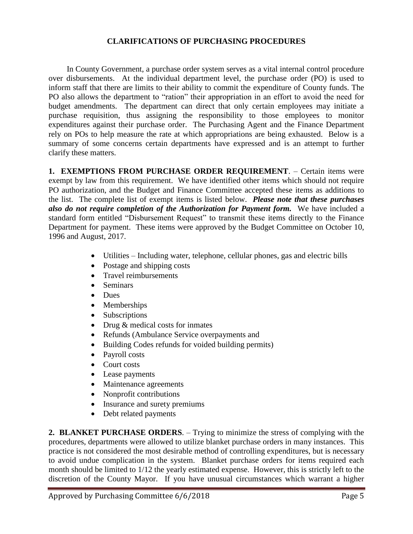#### **CLARIFICATIONS OF PURCHASING PROCEDURES**

In County Government, a purchase order system serves as a vital internal control procedure over disbursements. At the individual department level, the purchase order (PO) is used to inform staff that there are limits to their ability to commit the expenditure of County funds. The PO also allows the department to "ration" their appropriation in an effort to avoid the need for budget amendments. The department can direct that only certain employees may initiate a purchase requisition, thus assigning the responsibility to those employees to monitor expenditures against their purchase order. The Purchasing Agent and the Finance Department rely on POs to help measure the rate at which appropriations are being exhausted. Below is a summary of some concerns certain departments have expressed and is an attempt to further clarify these matters.

**1. EXEMPTIONS FROM PURCHASE ORDER REQUIREMENT**. – Certain items were exempt by law from this requirement. We have identified other items which should not require PO authorization, and the Budget and Finance Committee accepted these items as additions to the list. The complete list of exempt items is listed below. *Please note that these purchases also do not require completion of the Authorization for Payment form.* We have included a standard form entitled "Disbursement Request" to transmit these items directly to the Finance Department for payment. These items were approved by the Budget Committee on October 10, 1996 and August, 2017.

- Utilities Including water, telephone, cellular phones, gas and electric bills
- Postage and shipping costs
- Travel reimbursements
- Seminars
- Dues
- Memberships
- Subscriptions
- Drug & medical costs for inmates
- Refunds (Ambulance Service overpayments and
- Building Codes refunds for voided building permits)
- Payroll costs
- Court costs
- Lease payments
- Maintenance agreements
- Nonprofit contributions
- Insurance and surety premiums
- Debt related payments

**2. BLANKET PURCHASE ORDERS**. – Trying to minimize the stress of complying with the procedures, departments were allowed to utilize blanket purchase orders in many instances. This practice is not considered the most desirable method of controlling expenditures, but is necessary to avoid undue complication in the system. Blanket purchase orders for items required each month should be limited to 1/12 the yearly estimated expense. However, this is strictly left to the discretion of the County Mayor. If you have unusual circumstances which warrant a higher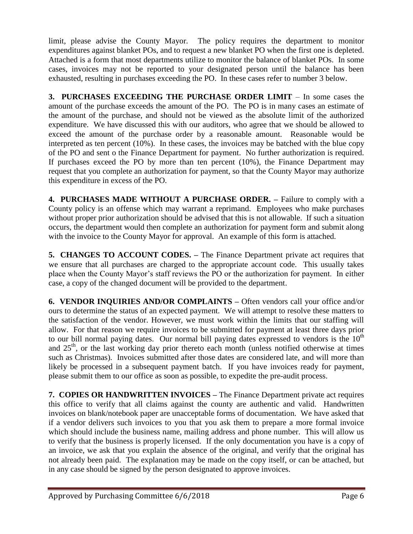limit, please advise the County Mayor. The policy requires the department to monitor expenditures against blanket POs, and to request a new blanket PO when the first one is depleted. Attached is a form that most departments utilize to monitor the balance of blanket POs. In some cases, invoices may not be reported to your designated person until the balance has been exhausted, resulting in purchases exceeding the PO. In these cases refer to number 3 below.

**3. PURCHASES EXCEEDING THE PURCHASE ORDER LIMIT** – In some cases the amount of the purchase exceeds the amount of the PO. The PO is in many cases an estimate of the amount of the purchase, and should not be viewed as the absolute limit of the authorized expenditure. We have discussed this with our auditors, who agree that we should be allowed to exceed the amount of the purchase order by a reasonable amount. Reasonable would be interpreted as ten percent (10%). In these cases, the invoices may be batched with the blue copy of the PO and sent o the Finance Department for payment. No further authorization is required. If purchases exceed the PO by more than ten percent (10%), the Finance Department may request that you complete an authorization for payment, so that the County Mayor may authorize this expenditure in excess of the PO.

**4. PURCHASES MADE WITHOUT A PURCHASE ORDER. –** Failure to comply with a County policy is an offense which may warrant a reprimand. Employees who make purchases without proper prior authorization should be advised that this is not allowable. If such a situation occurs, the department would then complete an authorization for payment form and submit along with the invoice to the County Mayor for approval. An example of this form is attached.

**5. CHANGES TO ACCOUNT CODES. –** The Finance Department private act requires that we ensure that all purchases are charged to the appropriate account code. This usually takes place when the County Mayor's staff reviews the PO or the authorization for payment. In either case, a copy of the changed document will be provided to the department.

**6. VENDOR INQUIRIES AND/OR COMPLAINTS –** Often vendors call your office and/or ours to determine the status of an expected payment. We will attempt to resolve these matters to the satisfaction of the vendor. However, we must work within the limits that our staffing will allow. For that reason we require invoices to be submitted for payment at least three days prior to our bill normal paying dates. Our normal bill paying dates expressed to vendors is the  $10<sup>th</sup>$ and  $25<sup>th</sup>$ , or the last working day prior thereto each month (unless notified otherwise at times such as Christmas). Invoices submitted after those dates are considered late, and will more than likely be processed in a subsequent payment batch. If you have invoices ready for payment, please submit them to our office as soon as possible, to expedite the pre-audit process.

**7. COPIES OR HANDWRITTEN INVOICES –** The Finance Department private act requires this office to verify that all claims against the county are authentic and valid. Handwritten invoices on blank/notebook paper are unacceptable forms of documentation. We have asked that if a vendor delivers such invoices to you that you ask them to prepare a more formal invoice which should include the business name, mailing address and phone number. This will allow us to verify that the business is properly licensed. If the only documentation you have is a copy of an invoice, we ask that you explain the absence of the original, and verify that the original has not already been paid. The explanation may be made on the copy itself, or can be attached, but in any case should be signed by the person designated to approve invoices.